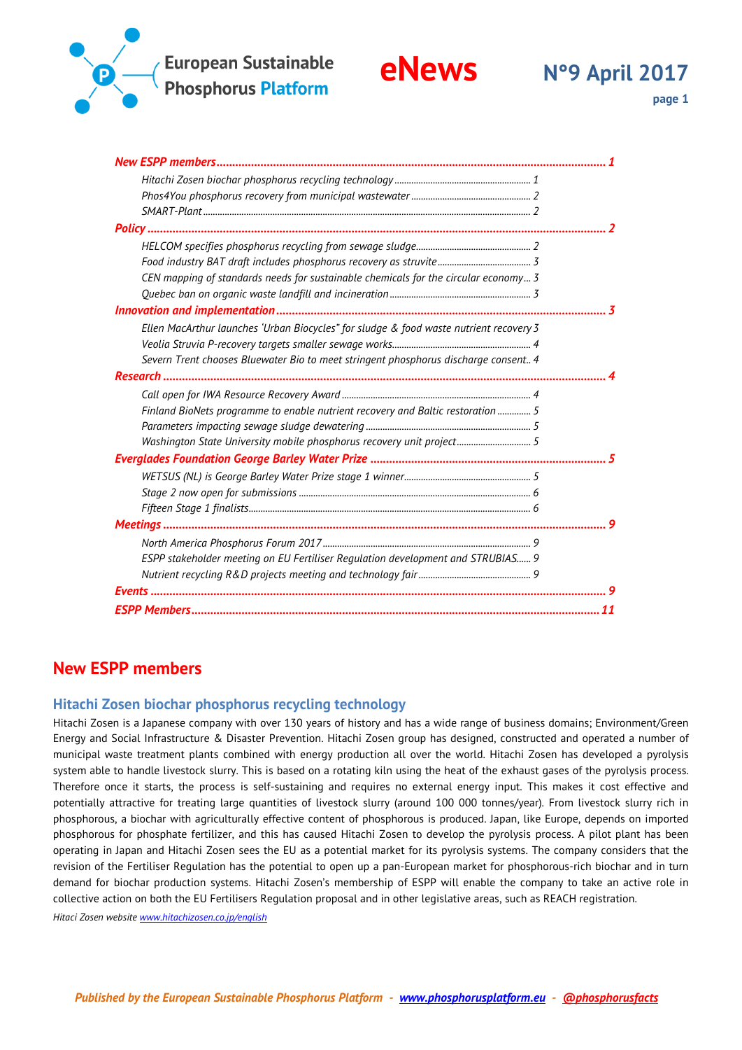

| CEN mapping of standards needs for sustainable chemicals for the circular economy 3    |  |
|----------------------------------------------------------------------------------------|--|
|                                                                                        |  |
|                                                                                        |  |
| Ellen MacArthur launches 'Urban Biocycles" for sludge & food waste nutrient recovery 3 |  |
|                                                                                        |  |
| Severn Trent chooses Bluewater Bio to meet stringent phosphorus discharge consent 4    |  |
|                                                                                        |  |
|                                                                                        |  |
| Finland BioNets programme to enable nutrient recovery and Baltic restoration  5        |  |
|                                                                                        |  |
| Washington State University mobile phosphorus recovery unit project5                   |  |
|                                                                                        |  |
|                                                                                        |  |
|                                                                                        |  |
|                                                                                        |  |
|                                                                                        |  |
|                                                                                        |  |
| ESPP stakeholder meeting on EU Fertiliser Regulation development and STRUBIAS 9        |  |
|                                                                                        |  |
|                                                                                        |  |
|                                                                                        |  |

# <span id="page-0-0"></span>**New ESPP members**

### <span id="page-0-1"></span>**Hitachi Zosen biochar phosphorus recycling technology**

Hitachi Zosen is a Japanese company with over 130 years of history and has a wide range of business domains; Environment/Green Energy and Social Infrastructure & Disaster Prevention. Hitachi Zosen group has designed, constructed and operated a number of municipal waste treatment plants combined with energy production all over the world. Hitachi Zosen has developed a pyrolysis system able to handle livestock slurry. This is based on a rotating kiln using the heat of the exhaust gases of the pyrolysis process. Therefore once it starts, the process is self-sustaining and requires no external energy input. This makes it cost effective and potentially attractive for treating large quantities of livestock slurry (around 100 000 tonnes/year). From livestock slurry rich in phosphorous, a biochar with agriculturally effective content of phosphorous is produced. Japan, like Europe, depends on imported phosphorous for phosphate fertilizer, and this has caused Hitachi Zosen to develop the pyrolysis process. A pilot plant has been operating in Japan and Hitachi Zosen sees the EU as a potential market for its pyrolysis systems. The company considers that the revision of the Fertiliser Regulation has the potential to open up a pan-European market for phosphorous-rich biochar and in turn demand for biochar production systems. Hitachi Zosen's membership of ESPP will enable the company to take an active role in collective action on both the EU Fertilisers Regulation proposal and in other legislative areas, such as REACH registration.

*Hitaci Zosen websit[e www.hitachizosen.co.jp/english](http://www.hitachizosen.co.jp/english)*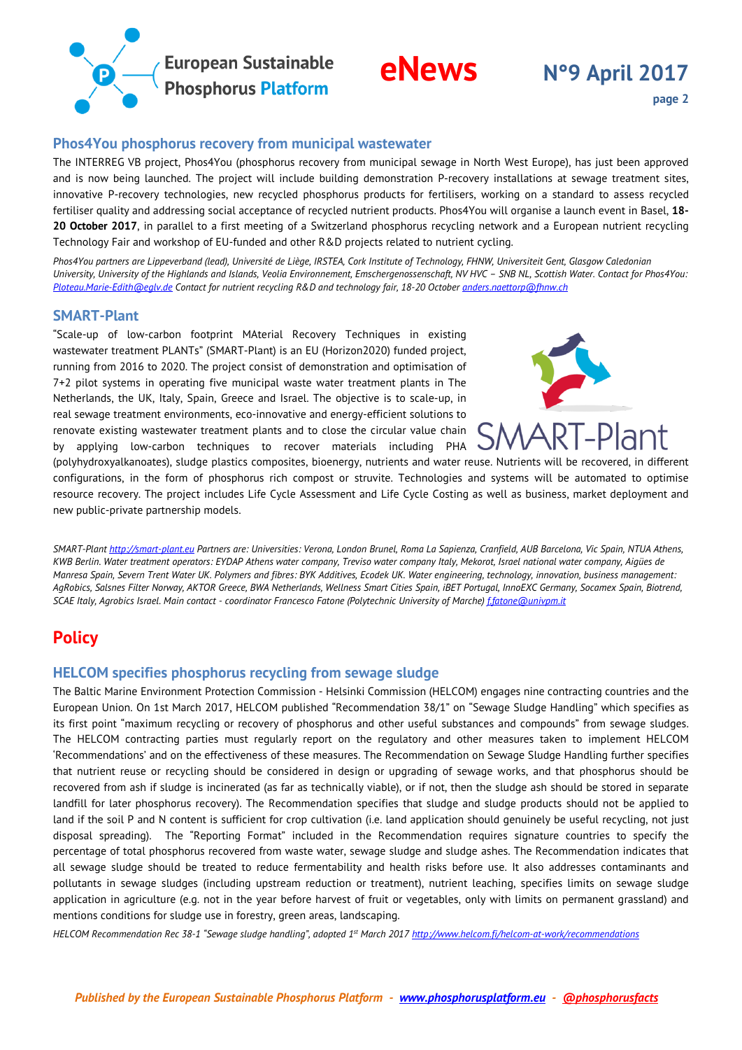

### <span id="page-1-0"></span>**Phos4You phosphorus recovery from municipal wastewater**

The INTERREG VB project, Phos4You (phosphorus recovery from municipal sewage in North West Europe), has just been approved and is now being launched. The project will include building demonstration P-recovery installations at sewage treatment sites, innovative P-recovery technologies, new recycled phosphorus products for fertilisers, working on a standard to assess recycled fertiliser quality and addressing social acceptance of recycled nutrient products. Phos4You will organise a launch event in Basel, **18- 20 October 2017**, in parallel to a first meeting of a Switzerland phosphorus recycling network and a European nutrient recycling Technology Fair and workshop of EU-funded and other R&D projects related to nutrient cycling.

*Phos4You partners are Lippeverband (lead), Université de Liège, IRSTEA, Cork Institute of Technology, FHNW, Universiteit Gent, Glasgow Caledonian University, University of the Highlands and Islands, Veolia Environnement, Emschergenossenschaft, NV HVC – SNB NL, Scottish Water. Contact for Phos4You: [Ploteau.Marie-Edith@eglv.de](mailto:Ploteau.Marie-Edith@eglv.de) Contact for nutrient recycling R&D and technology fair, 18-20 October [anders.naettorp@fhnw.ch](mailto:anders.naettorp@fhnw.ch)*

### <span id="page-1-1"></span>**SMART-Plant**

"Scale-up of low-carbon footprint MAterial Recovery Techniques in existing wastewater treatment PLANTs" (SMART-Plant) is an EU (Horizon2020) funded project, running from 2016 to 2020. The project consist of demonstration and optimisation of 7+2 pilot systems in operating five municipal waste water treatment plants in The Netherlands, the UK, Italy, Spain, Greece and Israel. The objective is to scale-up, in real sewage treatment environments, eco-innovative and energy-efficient solutions to renovate existing wastewater treatment plants and to close the circular value chain by applying low-carbon techniques to recover materials including PHA



(polyhydroxyalkanoates), sludge plastics composites, bioenergy, nutrients and water reuse. Nutrients will be recovered, in different configurations, in the form of phosphorus rich compost or struvite. Technologies and systems will be automated to optimise resource recovery. The project includes Life Cycle Assessment and Life Cycle Costing as well as business, market deployment and new public-private partnership models.

*SMART-Plan[t http://smart-plant.eu](http://smart-plant.eu/) Partners are: Universities: Verona, London Brunel, Roma La Sapienza, Cranfield, AUB Barcelona, Vic Spain, NTUA Athens, KWB Berlin. Water treatment operators: EYDAP Athens water company, Treviso water company Italy, Mekorot, Israel national water company, Aigües de Manresa Spain, Severn Trent Water UK. Polymers and fibres: BYK Additives, Ecodek UK. Water engineering, technology, innovation, business management: AgRobics, Salsnes Filter Norway, AKTOR Greece, BWA Netherlands, Wellness Smart Cities Spain, iBET Portugal, InnoEXC Germany, Socamex Spain, Biotrend, SCAE Italy, Agrobics Israel. Main contact - coordinator Francesco Fatone (Polytechnic University of Marche) [f.fatone@univpm.it](mailto:f.fatone@univpm.it)* 

# <span id="page-1-2"></span>**Policy**

### <span id="page-1-3"></span>**HELCOM specifies phosphorus recycling from sewage sludge**

The Baltic Marine Environment Protection Commission - Helsinki Commission (HELCOM) engages nine contracting countries and the European Union. On 1st March 2017, HELCOM published "Recommendation 38/1" on "Sewage Sludge Handling" which specifies as its first point "maximum recycling or recovery of phosphorus and other useful substances and compounds" from sewage sludges. The HELCOM contracting parties must regularly report on the regulatory and other measures taken to implement HELCOM 'Recommendations' and on the effectiveness of these measures. The Recommendation on Sewage Sludge Handling further specifies that nutrient reuse or recycling should be considered in design or upgrading of sewage works, and that phosphorus should be recovered from ash if sludge is incinerated (as far as technically viable), or if not, then the sludge ash should be stored in separate landfill for later phosphorus recovery). The Recommendation specifies that sludge and sludge products should not be applied to land if the soil P and N content is sufficient for crop cultivation (i.e. land application should genuinely be useful recycling, not just disposal spreading). The "Reporting Format" included in the Recommendation requires signature countries to specify the percentage of total phosphorus recovered from waste water, sewage sludge and sludge ashes. The Recommendation indicates that all sewage sludge should be treated to reduce fermentability and health risks before use. It also addresses contaminants and pollutants in sewage sludges (including upstream reduction or treatment), nutrient leaching, specifies limits on sewage sludge application in agriculture (e.g. not in the year before harvest of fruit or vegetables, only with limits on permanent grassland) and mentions conditions for sludge use in forestry, green areas, landscaping.

*HELCOM Recommendation Rec 38-1 "Sewage sludge handling", adopted 1st March 201[7 http://www.helcom.fi/helcom-at-work/recommendations](http://www.helcom.fi/helcom-at-work/recommendations)*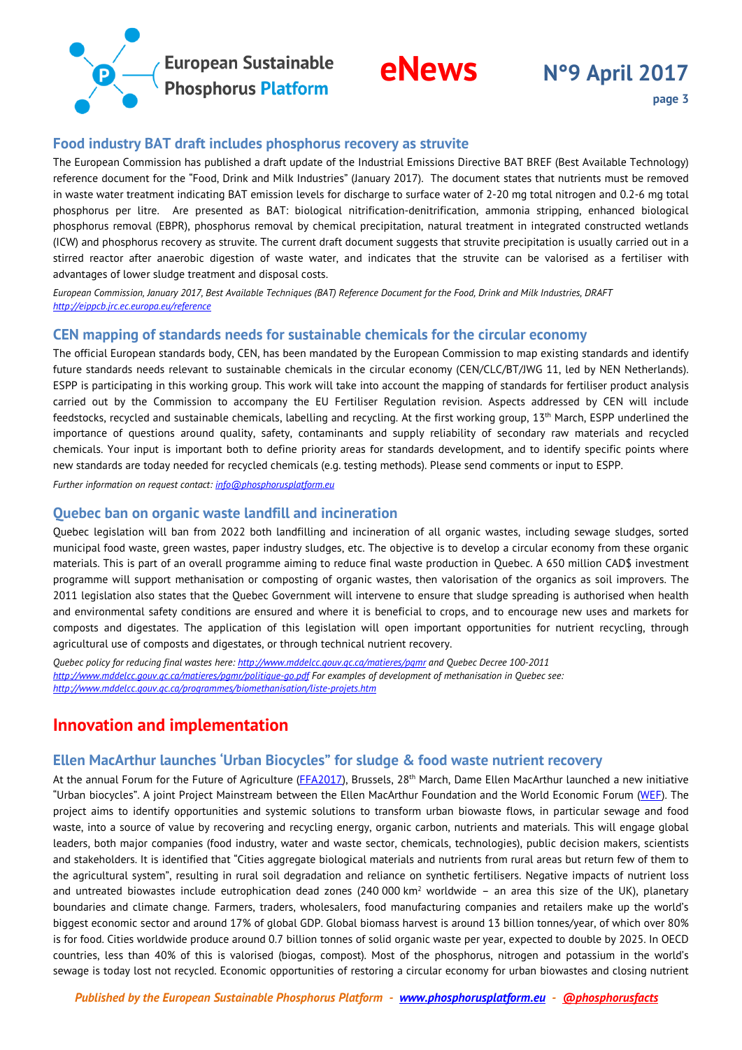



### <span id="page-2-0"></span>**Food industry BAT draft includes phosphorus recovery as struvite**

The European Commission has published a draft update of the Industrial Emissions Directive BAT BREF (Best Available Technology) reference document for the "Food, Drink and Milk Industries" (January 2017). The document states that nutrients must be removed in waste water treatment indicating BAT emission levels for discharge to surface water of 2-20 mg total nitrogen and 0.2-6 mg total phosphorus per litre. Are presented as BAT: biological nitrification-denitrification, ammonia stripping, enhanced biological phosphorus removal (EBPR), phosphorus removal by chemical precipitation, natural treatment in integrated constructed wetlands (ICW) and phosphorus recovery as struvite. The current draft document suggests that struvite precipitation is usually carried out in a stirred reactor after anaerobic digestion of waste water, and indicates that the struvite can be valorised as a fertiliser with advantages of lower sludge treatment and disposal costs.

*European Commission, January 2017, Best Available Techniques (BAT) Reference Document for the Food, Drink and Milk Industries, DRAFT [http://eippcb.jrc.ec.europa.eu/reference](http://eippcb.jrc.ec.europa.eu/reference/)*

### <span id="page-2-1"></span>**CEN mapping of standards needs for sustainable chemicals for the circular economy**

The official European standards body, CEN, has been mandated by the European Commission to map existing standards and identify future standards needs relevant to sustainable chemicals in the circular economy (CEN/CLC/BT/JWG 11, led by NEN Netherlands). ESPP is participating in this working group. This work will take into account the mapping of standards for fertiliser product analysis carried out by the Commission to accompany the EU Fertiliser Regulation revision. Aspects addressed by CEN will include feedstocks, recycled and sustainable chemicals, labelling and recycling. At the first working group,  $13<sup>th</sup>$  March, ESPP underlined the importance of questions around quality, safety, contaminants and supply reliability of secondary raw materials and recycled chemicals. Your input is important both to define priority areas for standards development, and to identify specific points where new standards are today needed for recycled chemicals (e.g. testing methods). Please send comments or input to ESPP.

<span id="page-2-2"></span>*Further information on request contact[: info@phosphorusplatform.eu](mailto:info@phosphorusplatform.eu)*

### **Quebec ban on organic waste landfill and incineration**

Quebec legislation will ban from 2022 both landfilling and incineration of all organic wastes, including sewage sludges, sorted municipal food waste, green wastes, paper industry sludges, etc. The objective is to develop a circular economy from these organic materials. This is part of an overall programme aiming to reduce final waste production in Quebec. A 650 million CAD\$ investment programme will support methanisation or composting of organic wastes, then valorisation of the organics as soil improvers. The 2011 legislation also states that the Quebec Government will intervene to ensure that sludge spreading is authorised when health and environmental safety conditions are ensured and where it is beneficial to crops, and to encourage new uses and markets for composts and digestates. The application of this legislation will open important opportunities for nutrient recycling, through agricultural use of composts and digestates, or through technical nutrient recovery.

*Quebec policy for reducing final wastes here[: http://www.mddelcc.gouv.qc.ca/matieres/pgmr](http://www.mddelcc.gouv.qc.ca/matieres/pgmr/) and Quebec Decree 100-2011 <http://www.mddelcc.gouv.qc.ca/matieres/pgmr/politique-go.pdf> For examples of development of methanisation in Quebec see: <http://www.mddelcc.gouv.qc.ca/programmes/biomethanisation/liste-projets.htm>*

# <span id="page-2-3"></span>**Innovation and implementation**

### <span id="page-2-4"></span>**Ellen MacArthur launches 'Urban Biocycles" for sludge & food waste nutrient recovery**

At the annual Forum for the Future of Agriculture [\(FFA2017\)](http://www.forumforagriculture.com/), Brussels, 28<sup>th</sup> March, Dame Ellen MacArthur launched a new initiative "Urban biocycles". A joint Project Mainstream between the Ellen MacArthur Foundation and the World Economic Forum [\(WEF\)](https://www.weforum.org/projects/circular-economy). The project aims to identify opportunities and systemic solutions to transform urban biowaste flows, in particular sewage and food waste, into a source of value by recovering and recycling energy, organic carbon, nutrients and materials. This will engage global leaders, both major companies (food industry, water and waste sector, chemicals, technologies), public decision makers, scientists and stakeholders. It is identified that "Cities aggregate biological materials and nutrients from rural areas but return few of them to the agricultural system", resulting in rural soil degradation and reliance on synthetic fertilisers. Negative impacts of nutrient loss and untreated biowastes include eutrophication dead zones (240 000 km<sup>2</sup> worldwide – an area this size of the UK), planetary boundaries and climate change. Farmers, traders, wholesalers, food manufacturing companies and retailers make up the world's biggest economic sector and around 17% of global GDP. Global biomass harvest is around 13 billion tonnes/year, of which over 80% is for food. Cities worldwide produce around 0.7 billion tonnes of solid organic waste per year, expected to double by 2025. In OECD countries, less than 40% of this is valorised (biogas, compost). Most of the phosphorus, nitrogen and potassium in the world's sewage is today lost not recycled. Economic opportunities of restoring a circular economy for urban biowastes and closing nutrient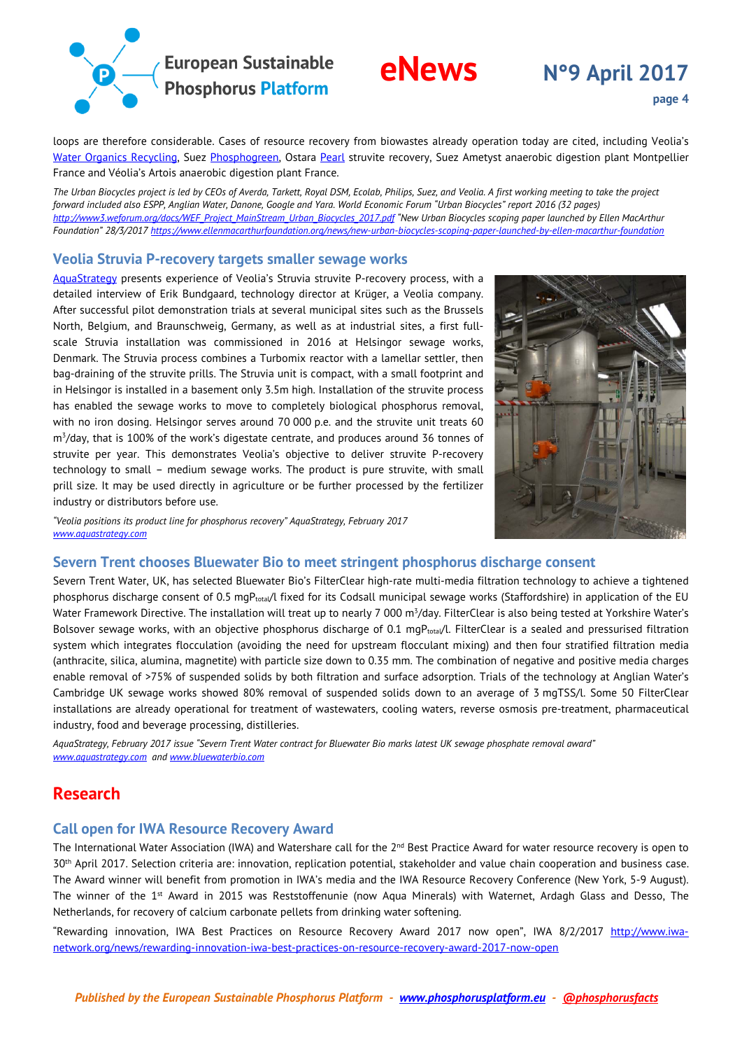

# **eNews N°9 April <sup>2017</sup>**

loops are therefore considerable. Cases of resource recovery from biowastes already operation today are cited, including Veolia's [Water Organics Recycling,](https://www.veolia.co.uk/our-services/our-services/water-services/organics-recycling) Suez [Phosphogreen,](https://www.suezwaterhandbook.com/degremont-R-technologies/sludge-treatment/recovery/recycle-phosphorus-from-effluent-to-produce-a-valuable-fertilizer-Phosphogreen) Ostara [Pearl](http://www.ostara.com/) struvite recovery, Suez Ametyst anaerobic digestion plant Montpellier France and Véolia's Artois anaerobic digestion plant France.

*The Urban Biocycles project is led by CEOs of Averda, Tarkett, Royal DSM, Ecolab, Philips, Suez, and Veolia. A first working meeting to take the project forward included also ESPP, Anglian Water, Danone, Google and Yara. World Economic Forum "Urban Biocycles" report 2016 (32 pages) [http://www3.weforum.org/docs/WEF\\_Project\\_MainStream\\_Urban\\_Biocycles\\_2017.pdf](http://www3.weforum.org/docs/WEF_Project_MainStream_Urban_Biocycles_2017.pdf) "New Urban Biocycles scoping paper launched by Ellen MacArthur Foundation" 28/3/2017<https://www.ellenmacarthurfoundation.org/news/new-urban-biocycles-scoping-paper-launched-by-ellen-macarthur-foundation>*

### <span id="page-3-0"></span>**Veolia Struvia P-recovery targets smaller sewage works**

[AquaStrategy](http://www.aquastrategy.com/) presents experience of Veolia's Struvia struvite P-recovery process, with a detailed interview of Erik Bundgaard, technology director at Krüger, a Veolia company. After successful pilot demonstration trials at several municipal sites such as the Brussels North, Belgium, and Braunschweig, Germany, as well as at industrial sites, a first fullscale Struvia installation was commissioned in 2016 at Helsingor sewage works, Denmark. The Struvia process combines a Turbomix reactor with a lamellar settler, then bag-draining of the struvite prills. The Struvia unit is compact, with a small footprint and in Helsingor is installed in a basement only 3.5m high. Installation of the struvite process has enabled the sewage works to move to completely biological phosphorus removal, with no iron dosing. Helsingor serves around 70 000 p.e. and the struvite unit treats 60 m3 /day, that is 100% of the work's digestate centrate, and produces around 36 tonnes of struvite per year. This demonstrates Veolia's objective to deliver struvite P-recovery technology to small – medium sewage works. The product is pure struvite, with small prill size. It may be used directly in agriculture or be further processed by the fertilizer industry or distributors before use.



*"Veolia positions its product line for phosphorus recovery" AquaStrategy, February 2017 [www.aquastrategy.com](http://www.aquastrategy.com/)* 

### <span id="page-3-1"></span>**Severn Trent chooses Bluewater Bio to meet stringent phosphorus discharge consent**

Severn Trent Water, UK, has selected Bluewater Bio's FilterClear high-rate multi-media filtration technology to achieve a tightened phosphorus discharge consent of 0.5 mgP<sub>total</sub>/l fixed for its Codsall municipal sewage works (Staffordshire) in application of the EU Water Framework Directive. The installation will treat up to nearly 7 000 m<sup>3</sup>/day. FilterClear is also being tested at Yorkshire Water's Bolsover sewage works, with an objective phosphorus discharge of 0.1 mgP<sub>total</sub>/l. FilterClear is a sealed and pressurised filtration system which integrates flocculation (avoiding the need for upstream flocculant mixing) and then four stratified filtration media (anthracite, silica, alumina, magnetite) with particle size down to 0.35 mm. The combination of negative and positive media charges enable removal of >75% of suspended solids by both filtration and surface adsorption. Trials of the technology at Anglian Water's Cambridge UK sewage works showed 80% removal of suspended solids down to an average of 3 mgTSS/l. Some 50 FilterClear installations are already operational for treatment of wastewaters, cooling waters, reverse osmosis pre-treatment, pharmaceutical industry, food and beverage processing, distilleries.

*AquaStrategy, February 2017 issue "Severn Trent Water contract for Bluewater Bio marks latest UK sewage phosphate removal award" [www.aquastrategy.com](http://www.aquastrategy.com/) an[d www.bluewaterbio.com](http://www.bluewaterbio.com/)*

## <span id="page-3-2"></span>**Research**

### <span id="page-3-3"></span>**Call open for IWA Resource Recovery Award**

The International Water Association (IWA) and Watershare call for the 2<sup>nd</sup> Best Practice Award for water resource recovery is open to 30th April 2017. Selection criteria are: innovation, replication potential, stakeholder and value chain cooperation and business case. The Award winner will benefit from promotion in IWA's media and the IWA Resource Recovery Conference (New York, 5-9 August). The winner of the 1st Award in 2015 was Reststoffenunie (now Aqua Minerals) with Waternet, Ardagh Glass and Desso, The Netherlands, for recovery of calcium carbonate pellets from drinking water softening.

"Rewarding innovation, IWA Best Practices on Resource Recovery Award 2017 now open", IWA 8/2/2017 [http://www.iwa](http://www.iwa-network.org/news/rewarding-innovation-iwa-best-practices-on-resource-recovery-award-2017-now-open/)[network.org/news/rewarding-innovation-iwa-best-practices-on-resource-recovery-award-2017-now-open](http://www.iwa-network.org/news/rewarding-innovation-iwa-best-practices-on-resource-recovery-award-2017-now-open/)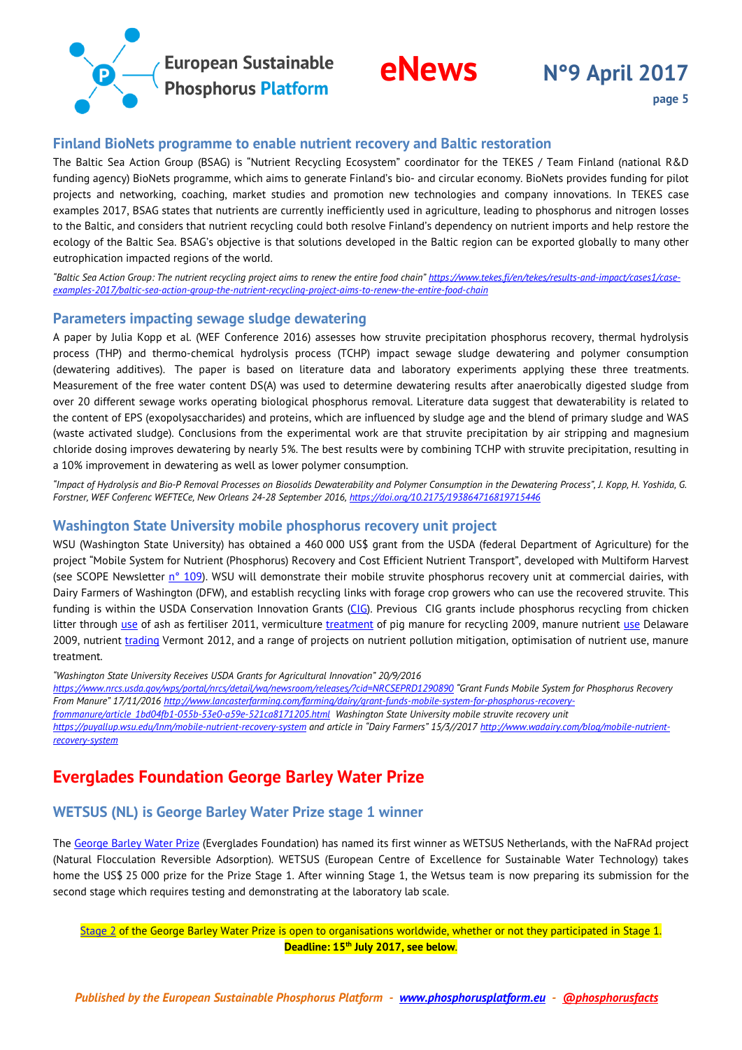



## <span id="page-4-0"></span>**Finland BioNets programme to enable nutrient recovery and Baltic restoration**

The Baltic Sea Action Group (BSAG) is "Nutrient Recycling Ecosystem" coordinator for the TEKES / Team Finland (national R&D funding agency) BioNets programme, which aims to generate Finland's bio- and circular economy. BioNets provides funding for pilot projects and networking, coaching, market studies and promotion new technologies and company innovations. In TEKES case examples 2017, BSAG states that nutrients are currently inefficiently used in agriculture, leading to phosphorus and nitrogen losses to the Baltic, and considers that nutrient recycling could both resolve Finland's dependency on nutrient imports and help restore the ecology of the Baltic Sea. BSAG's objective is that solutions developed in the Baltic region can be exported globally to many other eutrophication impacted regions of the world.

*"Baltic Sea Action Group: The nutrient recycling project aims to renew the entire food chain" [https://www.tekes.fi/en/tekes/results-and-impact/cases1/case](https://www.tekes.fi/en/tekes/results-and-impact/cases1/case-examples-2017/baltic-sea-action-group-the-nutrient-recycling-project-aims-to-renew-the-entire-food-chain/)[examples-2017/baltic-sea-action-group-the-nutrient-recycling-project-aims-to-renew-the-entire-food-chain](https://www.tekes.fi/en/tekes/results-and-impact/cases1/case-examples-2017/baltic-sea-action-group-the-nutrient-recycling-project-aims-to-renew-the-entire-food-chain/)*

### <span id="page-4-1"></span>**Parameters impacting sewage sludge dewatering**

A paper by Julia Kopp et al. (WEF Conference 2016) assesses how struvite precipitation phosphorus recovery, thermal hydrolysis process (THP) and thermo-chemical hydrolysis process (TCHP) impact sewage sludge dewatering and polymer consumption (dewatering additives). The paper is based on literature data and laboratory experiments applying these three treatments. Measurement of the free water content DS(A) was used to determine dewatering results after anaerobically digested sludge from over 20 different sewage works operating biological phosphorus removal. Literature data suggest that dewaterability is related to the content of EPS (exopolysaccharides) and proteins, which are influenced by sludge age and the blend of primary sludge and WAS (waste activated sludge). Conclusions from the experimental work are that struvite precipitation by air stripping and magnesium chloride dosing improves dewatering by nearly 5%. The best results were by combining TCHP with struvite precipitation, resulting in a 10% improvement in dewatering as well as lower polymer consumption.

*"Impact of Hydrolysis and Bio-P Removal Processes on Biosolids Dewaterability and Polymer Consumption in the Dewatering Process", J. Kopp, H. Yoshida, G. Forstner, WEF Conferenc WEFTECe, New Orleans 24-28 September 2016[, https://doi.org/10.2175/193864716819715446](https://doi.org/10.2175/193864716819715446)*

### <span id="page-4-2"></span>**Washington State University mobile phosphorus recovery unit project**

WSU (Washington State University) has obtained a 460 000 US\$ grant from the USDA (federal Department of Agriculture) for the project "Mobile System for Nutrient (Phosphorus) Recovery and Cost Efficient Nutrient Transport", developed with Multiform Harvest (see SCOPE Newsletter  $n^{\circ}$  109). WSU will demonstrate their mobile struvite phosphorus recovery unit at commercial dairies, with Dairy Farmers of Washington (DFW), and establish recycling links with forage crop growers who can use the recovered struvite. This funding is within the USDA Conservation Innovation Grants [\(CIG\)](https://www.nrcs.usda.gov/wps/portal/nrcs/main/national/programs/financial/cig/). Previous CIG grants include phosphorus recycling from chicken litter through [use](https://www.nrcs.usda.gov/wps/PA_NRCSConsumption/download?cid=stelprdb1044938.pdf) of ash as fertiliser 2011, vermiculture [treatment](https://www.nrcs.usda.gov/wps/PA_NRCSConsumption/download?cid=stelprdb1044932.pdf) of pig manure for recycling 2009, manure nutrient use Delaware 2009, nutrient [trading](http://agriculture.vermont.gov/) Vermont 2012, and a range of projects on nutrient pollution mitigation, optimisation of nutrient use, manure treatment.

*"Washington State University Receives USDA Grants for Agricultural Innovation" 20/9/2016* 

*<https://www.nrcs.usda.gov/wps/portal/nrcs/detail/wa/newsroom/releases/?cid=NRCSEPRD1290890> "Grant Funds Mobile System for Phosphorus Recovery From Manure" 17/11/201[6 http://www.lancasterfarming.com/farming/dairy/grant-funds-mobile-system-for-phosphorus-recovery-](http://www.lancasterfarming.com/farming/dairy/grant-funds-mobile-system-for-phosphorus-recovery-frommanure/article_1bd04fb1-055b-53e0-a59e-521ca8171205.html)*

*[frommanure/article\\_1bd04fb1-055b-53e0-a59e-521ca8171205.html](http://www.lancasterfarming.com/farming/dairy/grant-funds-mobile-system-for-phosphorus-recovery-frommanure/article_1bd04fb1-055b-53e0-a59e-521ca8171205.html) Washington State University mobile struvite recovery unit* 

*[https://puyallup.wsu.edu/lnm/mobile-nutrient-recovery-system](https://puyallup.wsu.edu/lnm/mobile-nutrient-recovery-system/) and article in "Dairy Farmers" 15/3//201[7 http://www.wadairy.com/blog/mobile-nutrient](http://www.wadairy.com/blog/mobile-nutrient-recovery-system)[recovery-system](http://www.wadairy.com/blog/mobile-nutrient-recovery-system)*

# <span id="page-4-3"></span>**Everglades Foundation George Barley Water Prize**

### <span id="page-4-4"></span>**WETSUS (NL) is George Barley Water Prize stage 1 winner**

Th[e George Barley Water Prize](http://www.barleyprize.com/) (Everglades Foundation) has named its first winner as WETSUS Netherlands, with the NaFRAd project (Natural Flocculation Reversible Adsorption). WETSUS (European Centre of Excellence for Sustainable Water Technology) takes home the US\$ 25 000 prize for the Prize Stage 1. After winning Stage 1, the Wetsus team is now preparing its submission for the second stage which requires testing and demonstrating at the laboratory lab scale.

[Stage 2](http://www.barleyprize.com/#/about/cae52f16-d5b9-ed44-29eb-a152534d4442) of the George Barley Water Prize is open to organisations worldwide, whether or not they participated in Stage 1. **Deadline: 15th July 2017, see below**.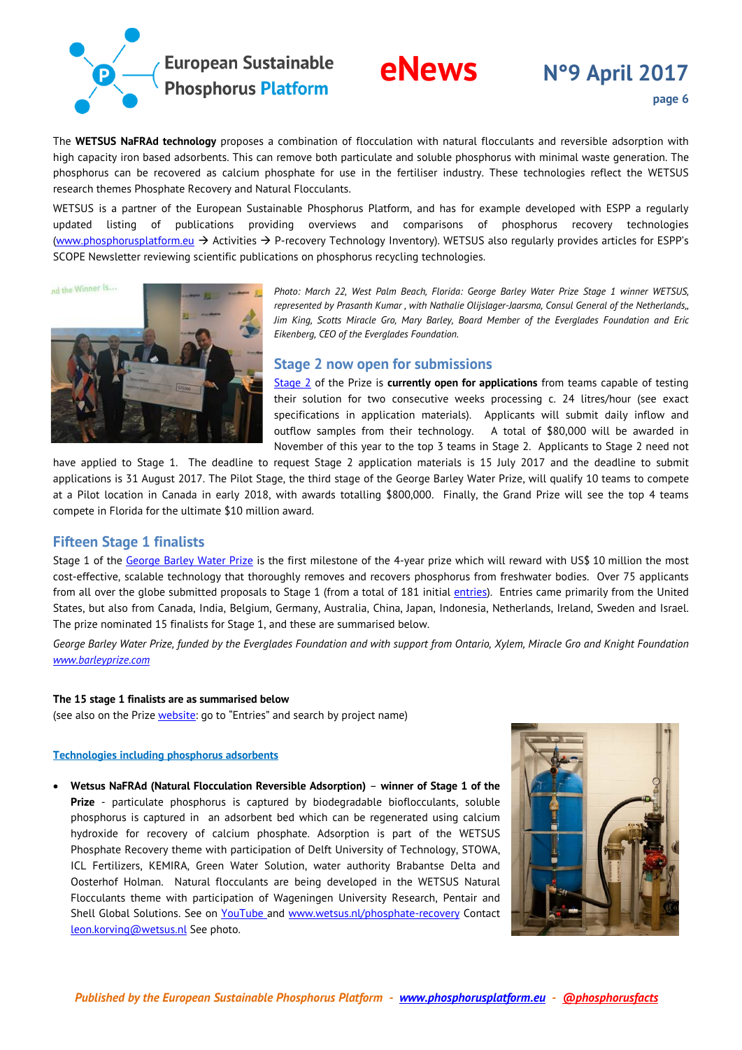

The **WETSUS NaFRAd technology** proposes a combination of flocculation with natural flocculants and reversible adsorption with high capacity iron based adsorbents. This can remove both particulate and soluble phosphorus with minimal waste generation. The phosphorus can be recovered as calcium phosphate for use in the fertiliser industry. These technologies reflect the WETSUS research themes Phosphate Recovery and Natural Flocculants.

WETSUS is a partner of the European Sustainable Phosphorus Platform, and has for example developed with ESPP a regularly updated listing of publications providing overviews and comparisons of phosphorus recovery technologies [\(www.phosphorusplatform.eu](http://www.phosphorusplatform.eu/)  $\rightarrow$  Activities  $\rightarrow$  P-recovery Technology Inventory). WETSUS also regularly provides articles for ESPP's SCOPE Newsletter reviewing scientific publications on phosphorus recycling technologies.

and the Winner Is...



*Photo: March 22, West Palm Beach, Florida: George Barley Water Prize Stage 1 winner WETSUS, represented by Prasanth Kumar , with Nathalie Olijslager-Jaarsma, Consul General of the Netherlands,, Jim King, Scotts Miracle Gro, Mary Barley, Board Member of the Everglades Foundation and Eric Eikenberg, CEO of the Everglades Foundation.*

### <span id="page-5-0"></span>**Stage 2 now open for submissions**

[Stage 2](http://www.barleyprize.com/#/about/cae52f16-d5b9-ed44-29eb-a152534d4442) of the Prize is **currently open for applications** from teams capable of testing their solution for two consecutive weeks processing c. 24 litres/hour (see exact specifications in application materials). Applicants will submit daily inflow and outflow samples from their technology. A total of \$80,000 will be awarded in November of this year to the top 3 teams in Stage 2. Applicants to Stage 2 need not

have applied to Stage 1. The deadline to request Stage 2 application materials is 15 July 2017 and the deadline to submit applications is 31 August 2017. The Pilot Stage, the third stage of the George Barley Water Prize, will qualify 10 teams to compete at a Pilot location in Canada in early 2018, with awards totalling \$800,000. Finally, the Grand Prize will see the top 4 teams compete in Florida for the ultimate \$10 million award.

### <span id="page-5-1"></span>**Fifteen Stage 1 finalists**

Stage 1 of the [George Barley Water Prize](http://www.barleyprize.com/) is the first milestone of the 4-year prize which will reward with US\$ 10 million the most cost-effective, scalable technology that thoroughly removes and recovers phosphorus from freshwater bodies. Over 75 applicants from all over the globe submitted proposals to Stage 1 (from a total of 181 initial [entries\)](http://www.barleyprize.com/). Entries came primarily from the United States, but also from Canada, India, Belgium, Germany, Australia, China, Japan, Indonesia, Netherlands, Ireland, Sweden and Israel. The prize nominated 15 finalists for Stage 1, and these are summarised below.

*George Barley Water Prize, funded by the Everglades Foundation and with support from Ontario, Xylem, Miracle Gro and Knight Foundation [www.barleyprize.com](http://www.barleyprize.com/)*

### **The 15 stage 1 finalists are as summarised below**

(see also on the Prize [website:](http://www.barleyprize.com/) go to "Entries" and search by project name)

### **Technologies including phosphorus adsorbents**

• **Wetsus NaFRAd (Natural Flocculation Reversible Adsorption)** – **winner of Stage 1 of the Prize** - particulate phosphorus is captured by biodegradable bioflocculants, soluble phosphorus is captured in an adsorbent bed which can be regenerated using calcium hydroxide for recovery of calcium phosphate. Adsorption is part of the WETSUS Phosphate Recovery theme with participation of Delft University of Technology, STOWA, ICL Fertilizers, KEMIRA, Green Water Solution, water authority Brabantse Delta and Oosterhof Holman. Natural flocculants are being developed in the WETSUS Natural Flocculants theme with participation of Wageningen University Research, Pentair and Shell Global Solutions. See on [YouTube](https://www.youtube.com/watch?v=lJ6ypN8tEgE) and [www.wetsus.nl/phosphate-recovery](https://www.wetsus.nl/phosphate-recovery) Contact [leon.korving@wetsus.nl](mailto:leon.korving@wetsus.nl) See photo.

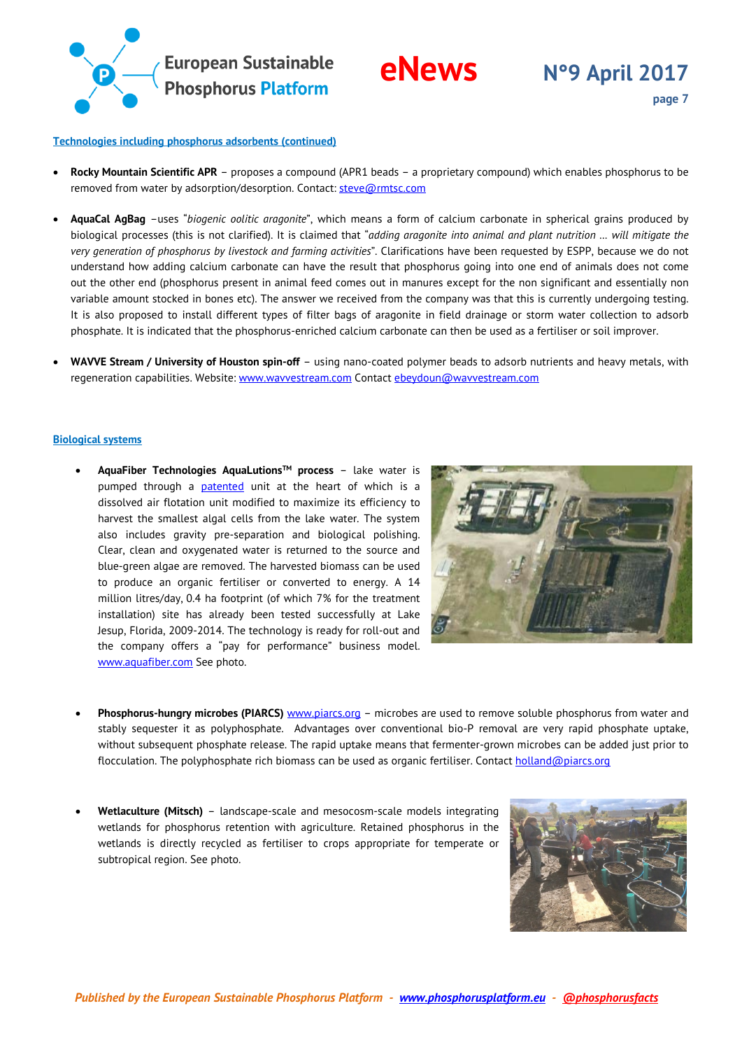

### **Technologies including phosphorus adsorbents (continued)**

- **Rocky Mountain Scientific APR** proposes a compound (APR1 beads a proprietary compound) which enables phosphorus to be removed from water by adsorption/desorption. Contact: [steve@rmtsc.com](mailto:steve@rmtsc.com)
- **AquaCal AgBag** –uses "*biogenic oolitic aragonite*", which means a form of calcium carbonate in spherical grains produced by biological processes (this is not clarified). It is claimed that "*adding aragonite into animal and plant nutrition … will mitigate the very generation of phosphorus by livestock and farming activities*". Clarifications have been requested by ESPP, because we do not understand how adding calcium carbonate can have the result that phosphorus going into one end of animals does not come out the other end (phosphorus present in animal feed comes out in manures except for the non significant and essentially non variable amount stocked in bones etc). The answer we received from the company was that this is currently undergoing testing. It is also proposed to install different types of filter bags of aragonite in field drainage or storm water collection to adsorb phosphate. It is indicated that the phosphorus-enriched calcium carbonate can then be used as a fertiliser or soil improver.
- **WAVVE Stream / University of Houston spin-off** using nano-coated polymer beads to adsorb nutrients and heavy metals, with regeneration capabilities. Website: [www.wavvestream.com](http://wavvestream.com/) Contac[t ebeydoun@wavvestream.com](mailto:ebeydoun@wavvestream.com)

### **Biological systems**

• **AquaFiber Technologies AquaLutionsTM process** – lake water is pumped through a **[patented](https://www.google.ch/patents/US8075783)** unit at the heart of which is a dissolved air flotation unit modified to maximize its efficiency to harvest the smallest algal cells from the lake water. The system also includes gravity pre-separation and biological polishing. Clear, clean and oxygenated water is returned to the source and blue-green algae are removed. The harvested biomass can be used to produce an organic fertiliser or converted to energy. A 14 million litres/day, 0.4 ha footprint (of which 7% for the treatment installation) site has already been tested successfully at Lake Jesup, Florida, 2009-2014. The technology is ready for roll-out and the company offers a "pay for performance" business model. [www.aquafiber.com](http://www.aquafiber.com/) See photo.



- **Phosphorus-hungry microbes (PIARCS)** [www.piarcs.org](http://www.piarcs.org/) microbes are used to remove soluble phosphorus from water and stably sequester it as polyphosphate. Advantages over conventional bio-P removal are very rapid phosphate uptake, without subsequent phosphate release. The rapid uptake means that fermenter-grown microbes can be added just prior to flocculation. The polyphosphate rich biomass can be used as organic fertiliser. Contac[t holland@piarcs.org](mailto:holland@piarcs.org)
- **Wetlaculture (Mitsch)** landscape-scale and mesocosm-scale models integrating wetlands for phosphorus retention with agriculture. Retained phosphorus in the wetlands is directly recycled as fertiliser to crops appropriate for temperate or subtropical region. See photo.

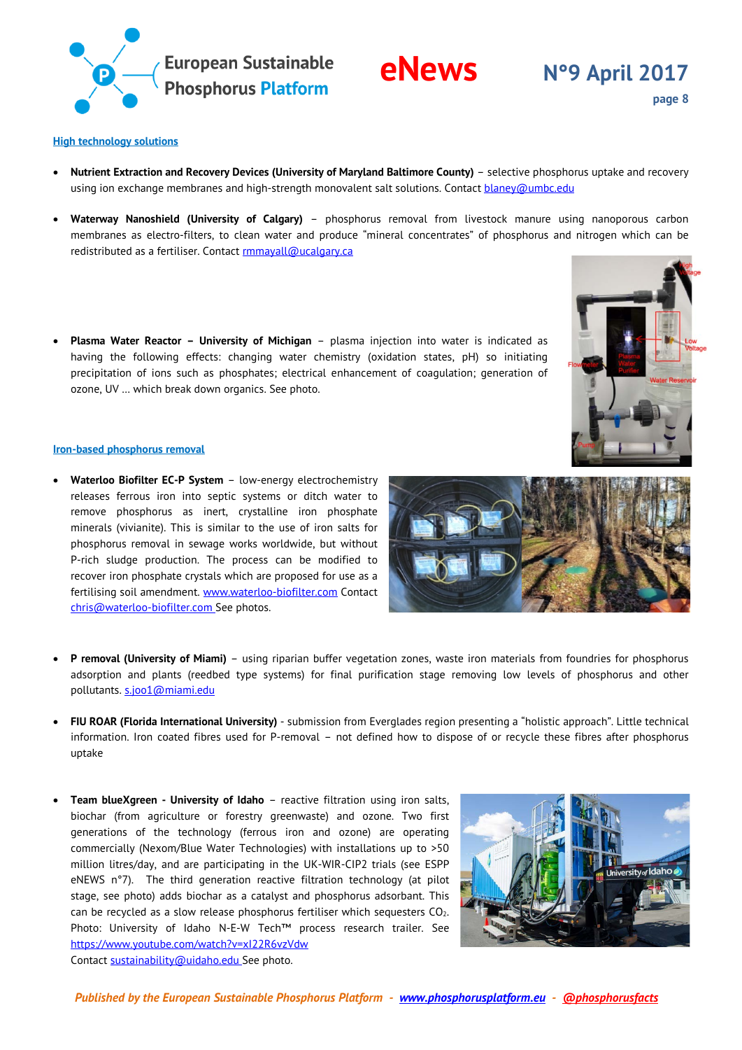

# **eNews N°9 April <sup>2017</sup>**

**page 8**

### **High technology solutions**

- **Nutrient Extraction and Recovery Devices (University of Maryland Baltimore County)** selective phosphorus uptake and recovery using ion exchange membranes and high-strength monovalent salt solutions. Contac[t blaney@umbc.edu](mailto:blaney@umbc.edu)
- **Waterway Nanoshield (University of Calgary)** phosphorus removal from livestock manure using nanoporous carbon membranes as electro-filters, to clean water and produce "mineral concentrates" of phosphorus and nitrogen which can be redistributed as a fertiliser. Contac[t rmmayall@ucalgary.ca](mailto:rmmayall@ucalgary.ca)
- **Plasma Water Reactor – University of Michigan** plasma injection into water is indicated as having the following effects: changing water chemistry (oxidation states, pH) so initiating precipitation of ions such as phosphates; electrical enhancement of coagulation; generation of ozone, UV … which break down organics. See photo.



### **Iron-based phosphorus removal**

- **Waterloo Biofilter EC-P System** low-energy electrochemistry releases ferrous iron into septic systems or ditch water to remove phosphorus as inert, crystalline iron phosphate minerals (vivianite). This is similar to the use of iron salts for phosphorus removal in sewage works worldwide, but without P-rich sludge production. The process can be modified to recover iron phosphate crystals which are proposed for use as a fertilising soil amendment. [www.waterloo-biofilter.com](http://www.waterloo-biofilter.com/) Contact [chris@waterloo-biofilter.com](mailto:chris@waterloo-biofilter.com) See photos.
- **P removal (University of Miami)**  using riparian buffer vegetation zones, waste iron materials from foundries for phosphorus adsorption and plants (reedbed type systems) for final purification stage removing low levels of phosphorus and other pollutants. [s.joo1@miami.edu](mailto:s.joo1@miami.edu)
- **FIU ROAR (Florida International University)**  submission from Everglades region presenting a "holistic approach". Little technical information. Iron coated fibres used for P-removal – not defined how to dispose of or recycle these fibres after phosphorus uptake
- **Team blueXgreen - University of Idaho** reactive filtration using iron salts, biochar (from agriculture or forestry greenwaste) and ozone. Two first generations of the technology (ferrous iron and ozone) are operating commercially (Nexom/Blue Water Technologies) with installations up to >50 million litres/day, and are participating in the UK-WIR-CIP2 trials (see ESPP eNEWS n°7). The third generation reactive filtration technology (at pilot stage, see photo) adds biochar as a catalyst and phosphorus adsorbant. This can be recycled as a slow release phosphorus fertiliser which sequesters CO2. Photo: University of Idaho N-E-W Tech™ process research trailer. See <https://www.youtube.com/watch?v=xI22R6vzVdw> Contac[t sustainability@uidaho.edu](mailto:sustainability@uidaho.edu) See photo.



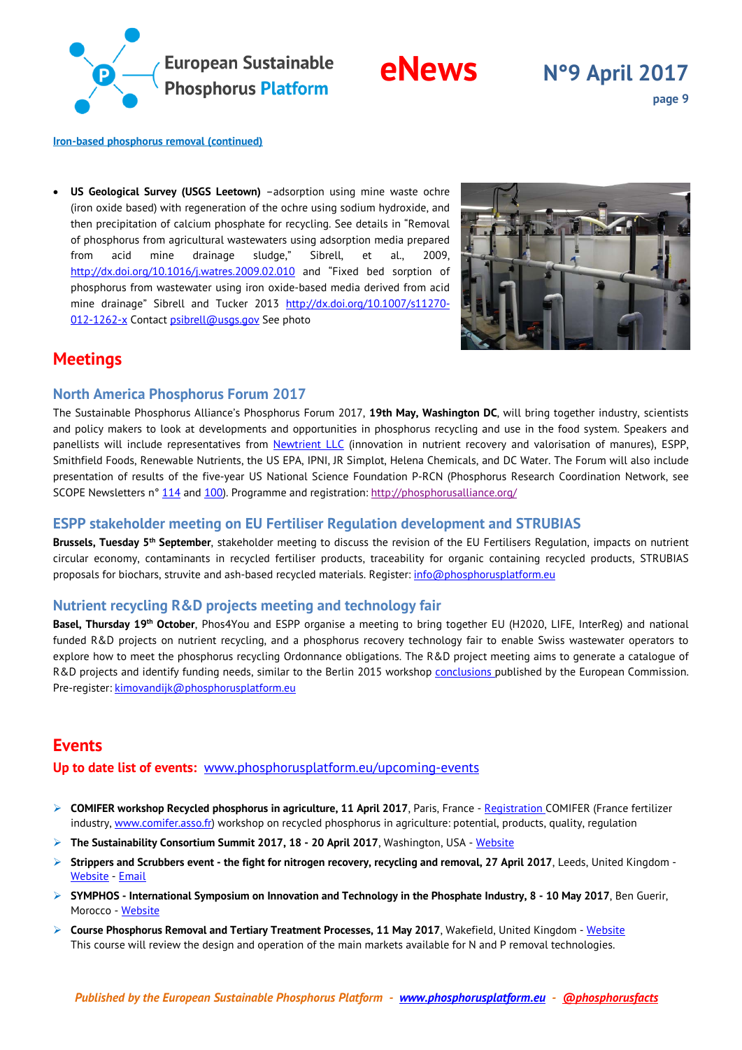

### **Iron-based phosphorus removal (continued)**

• **US Geological Survey (USGS Leetown)** –adsorption using mine waste ochre (iron oxide based) with regeneration of the ochre using sodium hydroxide, and then precipitation of calcium phosphate for recycling. See details in "Removal of phosphorus from agricultural wastewaters using adsorption media prepared from acid mine drainage sludge," Sibrell, et al., 2009, <http://dx.doi.org/10.1016/j.watres.2009.02.010> and "Fixed bed sorption of phosphorus from wastewater using iron oxide-based media derived from acid mine drainage" Sibrell and Tucker 2013 [http://dx.doi.org/10.1007/s11270-](http://dx.doi.org/10.1007/s11270-012-1262-x) [012-1262-x](http://dx.doi.org/10.1007/s11270-012-1262-x) Contac[t psibrell@usgs.gov](mailto:psibrell@usgs.gov) See photo



# <span id="page-8-0"></span>**Meetings**

### <span id="page-8-1"></span>**North America Phosphorus Forum 2017**

The Sustainable Phosphorus Alliance's Phosphorus Forum 2017, **19th May, Washington DC**, will bring together industry, scientists and policy makers to look at developments and opportunities in phosphorus recycling and use in the food system. Speakers and panellists will include representatives from [Newtrient LLC](https://urldefense.proofpoint.com/v2/url?u=http-3A__www.newtrient.com_&d=DQMFAw&c=AGbYxfJbXK67KfXyGqyv2Ejiz41FqQuZFk4A-1IxfAU&r=lI96Lx7fbyWBPJBEcr3TH4vgqq6k1DMk-C2LiC2rx8Y&m=1Lpmx2gD3FGPvtgzSWqm8uUUwYjmpzJlo4y87FbYzEE&s=bk8IZRqxRZSHk7D9PrJp-0YpH-EWtF14sIdRSAdMo7g&e=) (innovation in nutrient recovery and valorisation of manures), ESPP, Smithfield Foods, Renewable Nutrients, the US EPA, IPNI, JR Simplot, Helena Chemicals, and DC Water. The Forum will also include presentation of results of the five-year US National Science Foundation P-RCN (Phosphorus Research Coordination Network, see SCOPE Newsletters n° [114](https://urldefense.proofpoint.com/v2/url?u=http-3A__www.phosphorusplatform.eu_scope114&d=DQMFAw&c=AGbYxfJbXK67KfXyGqyv2Ejiz41FqQuZFk4A-1IxfAU&r=lI96Lx7fbyWBPJBEcr3TH4vgqq6k1DMk-C2LiC2rx8Y&m=1Lpmx2gD3FGPvtgzSWqm8uUUwYjmpzJlo4y87FbYzEE&s=wFG2JWGNKqFKymhquEkZwkr3qpukTHBWltP4Ypfwxbk&e=) and [100\)](https://urldefense.proofpoint.com/v2/url?u=http-3A__www.phosphorusplatform.eu_scope100&d=DQMFAw&c=AGbYxfJbXK67KfXyGqyv2Ejiz41FqQuZFk4A-1IxfAU&r=lI96Lx7fbyWBPJBEcr3TH4vgqq6k1DMk-C2LiC2rx8Y&m=1Lpmx2gD3FGPvtgzSWqm8uUUwYjmpzJlo4y87FbYzEE&s=ze_EISOn4EJHXspAdEOSpwsGSuQLJH3I2NXbfK3bWwY&e=). Programme and registration:<http://phosphorusalliance.org/>

### <span id="page-8-2"></span>**ESPP stakeholder meeting on EU Fertiliser Regulation development and STRUBIAS**

**Brussels, Tuesday 5th September**, stakeholder meeting to discuss the revision of the EU Fertilisers Regulation, impacts on nutrient circular economy, contaminants in recycled fertiliser products, traceability for organic containing recycled products, STRUBIAS proposals for biochars, struvite and ash-based recycled materials. Register: [info@phosphorusplatform.eu](mailto:info@phosphorusplatform.eu)

### <span id="page-8-3"></span>**Nutrient recycling R&D projects meeting and technology fair**

**Basel, Thursday 19th October**, Phos4You and ESPP organise a meeting to bring together EU (H2020, LIFE, InterReg) and national funded R&D projects on nutrient recycling, and a phosphorus recovery technology fair to enable Swiss wastewater operators to explore how to meet the phosphorus recycling Ordonnance obligations. The R&D project meeting aims to generate a catalogue of R&D projects and identify funding needs, similar to the Berlin 2015 workshop [conclusions p](http://bookshop.europa.eu/en/circular-approaches-tophosphorus-pbKI0115204/)ublished by the European Commission. Pre-register: [kimovandijk@phosphorusplatform.eu](mailto:kimovandijk@phosphorusplatform.eu)

# <span id="page-8-4"></span>**Events**

**Up to date list of events:** [www.phosphorusplatform.eu/upcoming-events](http://www.phosphorusplatform.eu/upcoming-events)

- **COMIFER workshop Recycled phosphorus in agriculture, 11 April 2017**, Paris, France [Registration](mailto:s.droisier@comifer.fr) COMIFER (France fertilizer industry, [www.comifer.asso.fr\)](http://www.comifer.asso.fr/) workshop on recycled phosphorus in agriculture: potential, products, quality, regulation
- **The Sustainability Consortium Summit 2017, 18 - 20 April 2017**, Washington, USA [Website](https://www.sustainabilityconsortium.org/summit/tsc-summit-2017)
- **Strippers and Scrubbers event - the fight for nitrogen recovery, recycling and removal, 27 April 2017**, Leeds, United Kingdom [Website](http://www.aquaenviro.co.uk/events/conferences/strippers-scrubbers-fight-nitrogen-recovery-recycling-removal/) - [Email](mailto:franceswoodhead@aquaenviro.co.uk)
- **SYMPHOS - International Symposium on Innovation and Technology in the Phosphate Industry, 8 - 10 May 2017**, Ben Guerir, Morocco - [Website](http://www.symphos.com/index.php?lang=en)
- **EX** Course Phosphorus Removal and Tertiary Treatment Processes, 11 May 2017, Wakefield, United Kingdom [Website](http://www.aquaenviro.co.uk/courses/phosphorus-removal-and-tertiary-treatment-processes/) This course will review the design and operation of the main markets available for N and P removal technologies.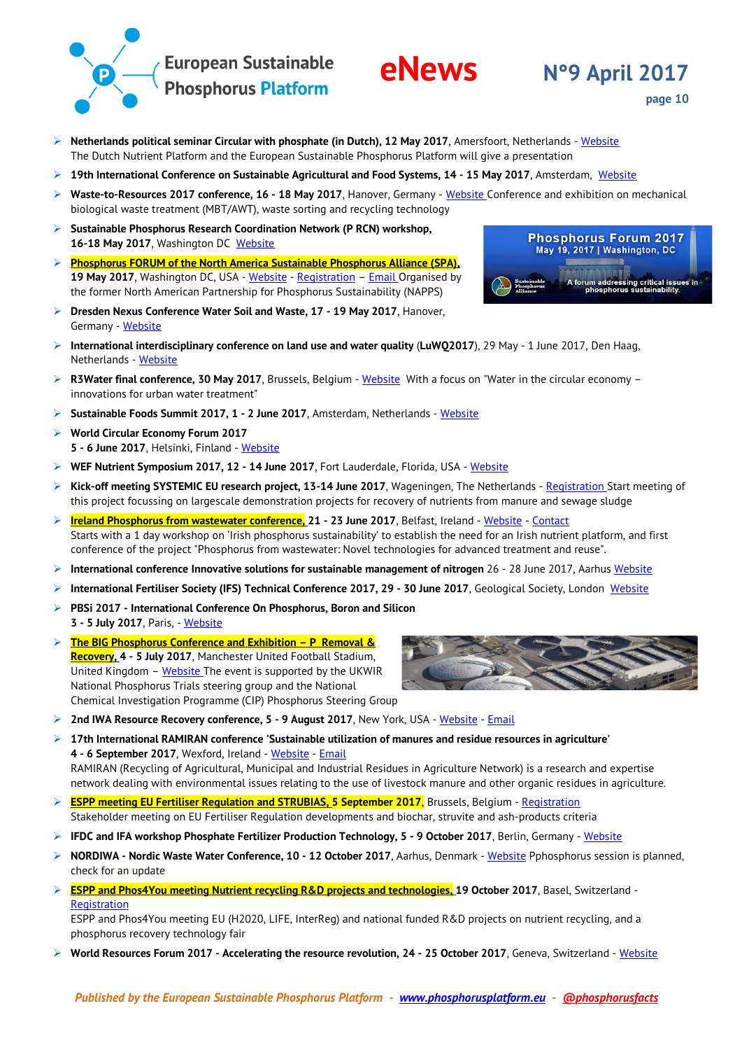

### **Netherlands political seminar Circular with phosphate (in Dutch), 12 May 2017**, Amersfoort, Netherlands - [Website](https://bureaudehelling.nl/agenda/circulair-met-fosfaat) The Dutch Nutrient Platform and the European Sustainable Phosphorus Platform will give a presentation

- **19th International Conference on Sustainable Agricultural and Food Systems, 14 - 15 May 2017**, Amsterdam, [Website](https://www.waset.org/conference/2017/05/amsterdam/ICSAFS)
- **Waste-to-Resources 2017 conference, 16 - 18 May 2017**, Hanover, Germany [Website](http://www.waste-to-resources.eu/id-2017-161.html) Conference and exhibition on mechanical biological waste treatment (MBT/AWT), waste sorting and recycling technology
- **Sustainable Phosphorus Research Coordination Network (P RCN) workshop,** 16-18 May 2017, Washington DC [Website](https://sustainablep.asu.edu/about)
- **Phosphorus FORUM of the North America Sustainable Phosphorus Alliance (SPA), 19 May 2017**, Washington DC, USA - [Website](https://phosphorusalliance.org/events/) - [Registration](https://www.eventbrite.com/e/phosphorus-forum-2017-tickets-28406690175) – [Email](mailto:Matthew.Scholz@asu.edu) Organised by the former North American Partnership for Phosphorus Sustainability (NAPPS)
- **Dresden Nexus Conference Water Soil and Waste, 17 - 19 May 2017**, Hanover, Germany - [Website](https://www.water-energy-food.org/calendar/detail/2016-07-20-dresden-nexus-conference-sdgs-and-nexus-approach-monitoring-and-implementation)
- **International interdisciplinary conference on land use and water quality** (**LuWQ2017**), 29 May 1 June 2017, Den Haag, Netherlands - [Website](http://www.luwq2017.nl/)
- **R3Water final conference, 30 May 2017**, Brussels, Belgium [Website](http://r3water.eu/save-the-date-r3water-final-conference-on-water-in-the-circular-economy-innovations-for-urban-water-treatment) With a focus on "Water in the circular economy innovations for urban water treatment"
- **Sustainable Foods Summit 2017, 1 - 2 June 2017**, Amsterdam, Netherlands [Website](http://www.sustainablefoodssummit.com/)
- **World Circular Economy Forum 2017 5 - 6 June 2017**, Helsinki, Finland - [Website](https://www.sitra.fi/en/events/circular-economy/world-circular-economy-forum-2017)
- **WEF Nutrient Symposium 2017, 12 - 14 June 2017**, Fort Lauderdale, Florida, USA [Website](http://www.wef.org/Nutrients)
- **Kick-off meeting SYSTEMIC EU research project, 13-14 June 2017**, Wageningen, The Netherlands [Registration](mailto:systemic@wur.nl) Start meeting of this project focussing on largescale demonstration projects for recovery of nutrients from manure and sewage sludge
- **Ireland Phosphorus from wastewater conference, 21 - 23 June 2017**, Belfast, Ireland [Website](https://phosphorusie.wordpress.com/) [Contact](mailto:K.Macintosh@qub.ac.uk) Starts with a 1 day workshop on 'Irish phosphorus sustainability' to establish the need for an Irish nutrient platform, and first conference of the project "Phosphorus from wastewater: Novel technologies for advanced treatment and reuse".
- **International conference Innovative solutions for sustainable management of nitrogen** 26 28 June 2017, Aarhus [Website](http://sustainablenconference.dnmark.org/)
- **International Fertiliser Society (IFS) Technical Conference 2017, 29 - 30 June 2017**, Geological Society, London [Website](http://fertiliser-society.org/event/ifs-technical-conference-2017.aspx)
- **PBSi 2017 - International Conference On Phosphorus, Boron and Silicon 3 - 5 July 2017**, Paris, - [Website](http://premc.org/conferences/pbsi-phosphorus-boron-silicon)
- **The BIG Phosphorus Conference and Exhibition – P Removal & Recovery, 4 - 5 July 2017**, Manchester United Football Stadium, United Kingdom – [Website](http://www.aquaenviro.co.uk/events/conferences/big-phosphorus-conference/) The event is supported by the UKWIR National Phosphorus Trials steering group and the National Chemical Investigation Programme (CIP) Phosphorus Steering Group
- **2 2nd IWA Resource Recovery conference, 5 9 August 2017, New York, USA [Website](http://www.irrc2017.org/) [Email](mailto:hong.li@iwahq.org)**
- **17th International RAMIRAN conference 'Sustainable utilization of manures and residue resources in agriculture' 4 - 6 September 2017**, Wexford, Ireland - [Website](http://www.ramiran2017.com/) - [Email](mailto:ramiran2017@abbey.ie) RAMIRAN (Recycling of Agricultural, Municipal and Industrial Residues in Agriculture Network) is a research and expertise network dealing with environmental issues relating to the use of livestock manure and other organic residues in agriculture.
- **ESPP meeting EU Fertiliser Regulation and STRUBIAS, 5 September 2017**, Brussels, Belgium [Registration](mailto:info@phosphorusplatform.eu) Stakeholder meeting on EU Fertiliser Regulation developments and biochar, struvite and ash-products criteria
- **IFDC and IFA workshop Phosphate Fertilizer Production Technology, 5 - 9 October 2017**, Berlin, Germany [Website](https://ifdc.org/phosphate-fertilizer-production-technology-with-ifa/)
- **NORDIWA - Nordic Waste Water Conference, 10 - 12 October 2017**, Aarhus, Denmark [Website](https://www.nordiwa.org/) Pphosphorus session is planned, check for an update
- **ESPP and Phos4You meeting Nutrient recycling R&D projects and technologies, 19 October 2017**, Basel, Switzerland [Registration](mailto:kimovandijk@phosphorusplatform.eu)

ESPP and Phos4You meeting EU (H2020, LIFE, InterReg) and national funded R&D projects on nutrient recycling, and a phosphorus recovery technology fair

**World Resources Forum 2017 - Accelerating the resource revolution, 24 - 25 October 2017**, Geneva, Switzerland - [Website](https://www.water-energy-food.org/calendar/detail/2016-12-22-world-resources-forum-2017-accelerating-the-resource-revolution)



**page 10**



**Phosphorus Forum 2017** May 19, 2017 | Washington, DC

A forum addressing critical issues in<br>phosphorus sustainability

**eNews** N°9 April 2017